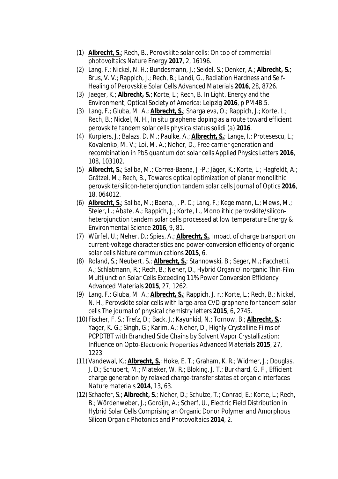- (1) **Albrecht, S.**; Rech, B., Perovskite solar cells: On top of commercial photovoltaics *Nature Energy* **2017**, 2, 16196.
- (2) Lang, F.; Nickel, N. H.; Bundesmann, J.; Seidel, S.; Denker, A.; **Albrecht, S.**; Brus, V. V.; Rappich, J.; Rech, B.; Landi, G., Radiation Hardness and Self‐ Healing of Perovskite Solar Cells *Advanced Materials* **2016**, *28*, 8726.
- (3) Jaeger, K.; **Albrecht, S.**; Korte, L.; Rech, B. In Light, Energy and the Environment; *Optical Society of America: Leipzig* **2016**, p PM4B.5.
- (3) Lang, F.; Gluba, M. A.; **Albrecht, S.**; Shargaieva, O.; Rappich, J.; Korte, L.; Rech, B.; Nickel, N. H., In situ graphene doping as a route toward efficient perovskite tandem solar cells *physica status solidi (a)* **2016**.
- (4) Kurpiers, J.; Balazs, D. M.; Paulke, A.; **Albrecht, S.**; Lange, I.; Protesescu, L.; Kovalenko, M. V.; Loi, M. A.; Neher, D., Free carrier generation and recombination in PbS quantum dot solar cells *Applied Physics Letters* **2016**, *108*, 103102.
- (5) **Albrecht, S.**; Saliba, M.; Correa-Baena, J.-P.; Jäger, K.; Korte, L.; Hagfeldt, A.; Grätzel, M.; Rech, B., Towards optical optimization of planar monolithic perovskite/silicon-heterojunction tandem solar cells *Journal of Optics* **2016**, *18*, 064012.
- (6) **Albrecht, S.**; Saliba, M.; Baena, J. P. C.; Lang, F.; Kegelmann, L.; Mews, M.; Steier, L.; Abate, A.; Rappich, J.; Korte, L., Monolithic perovskite/siliconheterojunction tandem solar cells processed at low temperature *Energy & Environmental Science* **2016**, *9*, 81.
- (7) Würfel, U.; Neher, D.; Spies, A.; **Albrecht, S.**, Impact of charge transport on current-voltage characteristics and power-conversion efficiency of organic solar cells *Nature communications* **2015**, *6*.
- (8) Roland, S.; Neubert, S.; **Albrecht, S.**; Stannowski, B.; Seger, M.; Facchetti, A.; Schlatmann, R.; Rech, B.; Neher, D., Hybrid Organic/Inorganic Thin‐Film Multijunction Solar Cells Exceeding 11% Power Conversion Efficiency *Advanced Materials* **2015**, *27*, 1262.
- (9) Lang, F.; Gluba, M. A.; **Albrecht, S.**; Rappich, J. r.; Korte, L.; Rech, B.; Nickel, N. H., Perovskite solar cells with large-area CVD-graphene for tandem solar cells *The journal of physical chemistry letters* **2015**, *6*, 2745.
- (10) Fischer, F. S.; Trefz, D.; Back, J.; Kayunkid, N.; Tornow, B.; **Albrecht, S.**; Yager, K. G.; Singh, G.; Karim, A.; Neher, D., Highly Crystalline Films of PCPDTBT with Branched Side Chains by Solvent Vapor Crystallization: Influence on Opto‐Electronic Properties *Advanced Materials* **2015**, *27*, 1223.
- (11) Vandewal, K.; **Albrecht, S.**; Hoke, E. T.; Graham, K. R.; Widmer, J.; Douglas, J. D.; Schubert, M.; Mateker, W. R.; Bloking, J. T.; Burkhard, G. F., Efficient charge generation by relaxed charge-transfer states at organic interfaces *Nature materials* **2014**, *13*, 63.
- (12) Schaefer, S.; **Albrecht, S**.; Neher, D.; Schulze, T.; Conrad, E.; Korte, L.; Rech, B.; Wördenweber, J.; Gordijn, A.; Scherf, U., Electric Field Distribution in Hybrid Solar Cells Comprising an Organic Donor Polymer and Amorphous Silicon *Organic Photonics and Photovoltaics* **2014**, *2*.